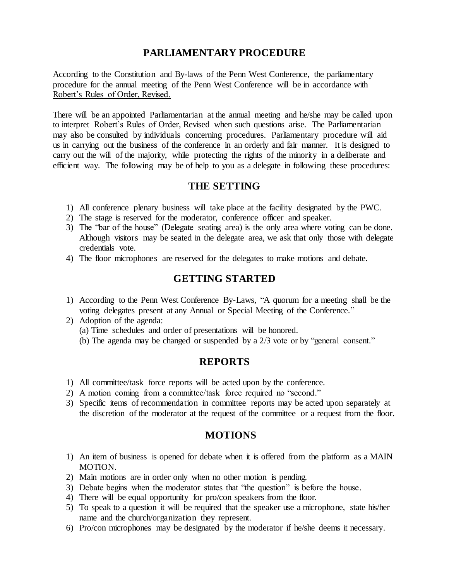# **PARLIAMENTARY PROCEDURE**

According to the Constitution and By-laws of the Penn West Conference, the parliamentary procedure for the annual meeting of the Penn West Conference will be in accordance with Robert's Rules of Order, Revised.

There will be an appointed Parliamentarian at the annual meeting and he/she may be called upon to interpret Robert's Rules of Order, Revised when such questions arise. The Parliamentarian may also be consulted by individuals concerning procedures. Parliamentary procedure will aid us in carrying out the business of the conference in an orderly and fair manner. It is designed to carry out the will of the majority, while protecting the rights of the minority in a deliberate and efficient way. The following may be of help to you as a delegate in following these procedures:

### **THE SETTING**

- 1) All conference plenary business will take place at the facility designated by the PWC.
- 2) The stage is reserved for the moderator, conference officer and speaker.
- 3) The "bar of the house" (Delegate seating area) is the only area where voting can be done. Although visitors may be seated in the delegate area, we ask that only those with delegate credentials vote.
- 4) The floor microphones are reserved for the delegates to make motions and debate.

## **GETTING STARTED**

- 1) According to the Penn West Conference By-Laws, "A quorum for a meeting shall be the voting delegates present at any Annual or Special Meeting of the Conference."
- 2) Adoption of the agenda:
	- (a) Time schedules and order of presentations will be honored.
	- (b) The agenda may be changed or suspended by a 2/3 vote or by "general consent."

#### **REPORTS**

- 1) All committee/task force reports will be acted upon by the conference.
- 2) A motion coming from a committee/task force required no "second."
- 3) Specific items of recommendation in committee reports may be acted upon separately at the discretion of the moderator at the request of the committee or a request from the floor.

#### **MOTIONS**

- 1) An item of business is opened for debate when it is offered from the platform as a MAIN MOTION.
- 2) Main motions are in order only when no other motion is pending.
- 3) Debate begins when the moderator states that "the question" is before the house.
- 4) There will be equal opportunity for pro/con speakers from the floor.
- 5) To speak to a question it will be required that the speaker use a microphone, state his/her name and the church/organization they represent.
- 6) Pro/con microphones may be designated by the moderator if he/she deems it necessary.